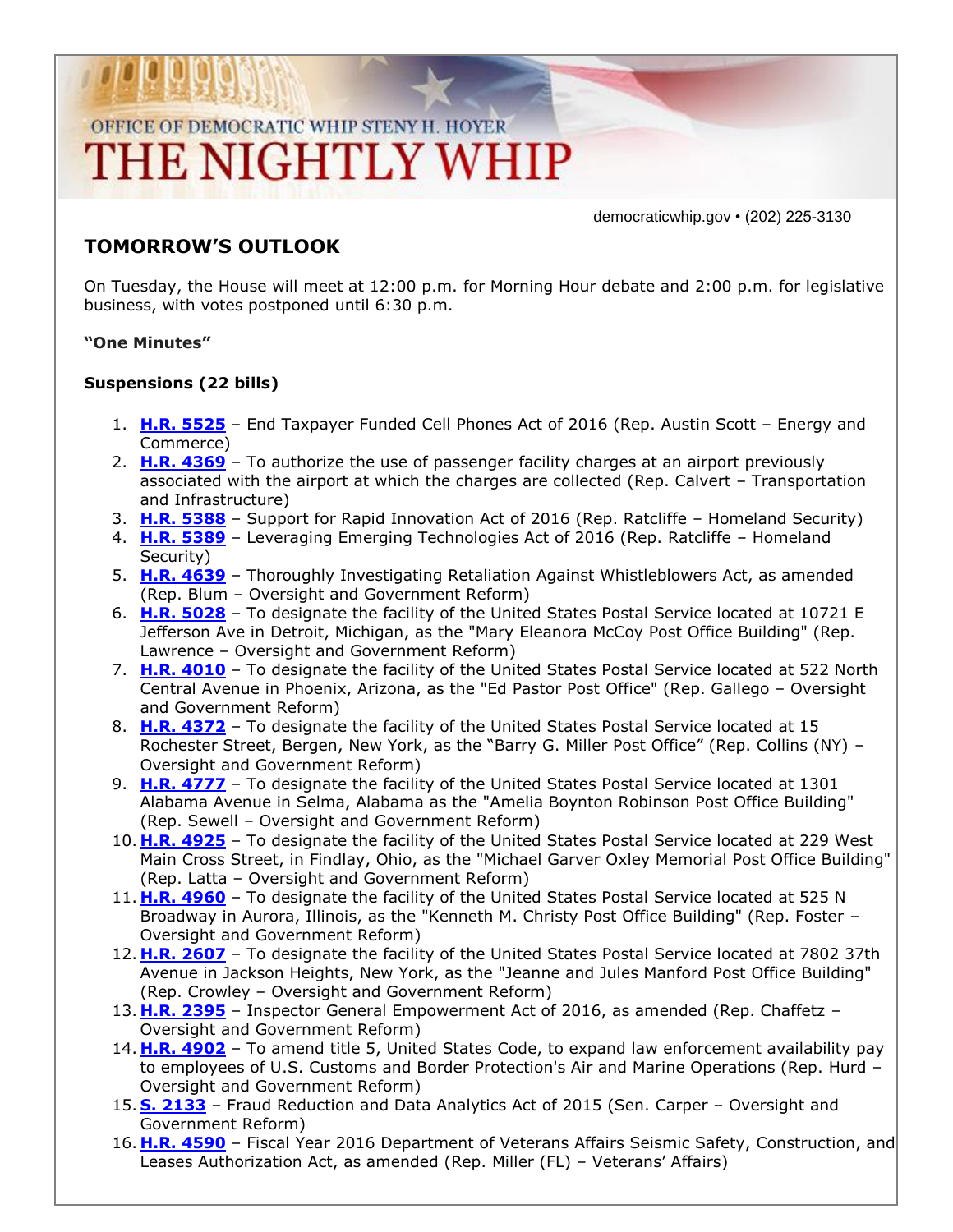# OFFICE OF DEMOCRATIC WHIP STENY H. HOYER THE NIGHTLY WHIP

democraticwhip.gov • (202) 225-3130

### **TOMORROW'S OUTLOOK**

On Tuesday, the House will meet at 12:00 p.m. for Morning Hour debate and 2:00 p.m. for legislative business, with votes postponed until 6:30 p.m.

#### **"One Minutes"**

#### **Suspensions (22 bills)**

- 1. **[H.R. 5525](http://thomas.loc.gov/cgi-bin/bdquery/z?d114:HR5525:/)** End Taxpayer Funded Cell Phones Act of 2016 (Rep. Austin Scott Energy and Commerce)
- 2. **[H.R. 4369](http://thomas.loc.gov/cgi-bin/bdquery/z?d114:HR4369:/)** To authorize the use of passenger facility charges at an airport previously associated with the airport at which the charges are collected (Rep. Calvert – Transportation and Infrastructure)
- 3. **[H.R. 5388](http://thomas.loc.gov/cgi-bin/bdquery/z?d114:HR5388:/)** Support for Rapid Innovation Act of 2016 (Rep. Ratcliffe Homeland Security)
- 4. **[H.R. 5389](http://thomas.loc.gov/cgi-bin/bdquery/z?d114:HR5389:/)** Leveraging Emerging Technologies Act of 2016 (Rep. Ratcliffe Homeland Security)
- 5. **[H.R. 4639](http://thomas.loc.gov/cgi-bin/bdquery/z?d114:HR4639:/)** Thoroughly Investigating Retaliation Against Whistleblowers Act, as amended (Rep. Blum – Oversight and Government Reform)
- 6. **[H.R. 5028](http://thomas.loc.gov/cgi-bin/bdquery/z?d114:HR5028:/)** To designate the facility of the United States Postal Service located at 10721 E Jefferson Ave in Detroit, Michigan, as the "Mary Eleanora McCoy Post Office Building" (Rep. Lawrence – Oversight and Government Reform)
- 7. **[H.R. 4010](http://thomas.loc.gov/cgi-bin/bdquery/z?d114:HR4010:/)** To designate the facility of the United States Postal Service located at 522 North Central Avenue in Phoenix, Arizona, as the "Ed Pastor Post Office" (Rep. Gallego – Oversight and Government Reform)
- 8. **[H.R. 4372](http://thomas.loc.gov/cgi-bin/bdquery/z?d114:HR4372:/)** To designate the facility of the United States Postal Service located at 15 Rochester Street, Bergen, New York, as the "Barry G. Miller Post Office" (Rep. Collins (NY) – Oversight and Government Reform)
- 9. **[H.R. 4777](http://thomas.loc.gov/cgi-bin/bdquery/z?d114:HR4777:/)** To designate the facility of the United States Postal Service located at 1301 Alabama Avenue in Selma, Alabama as the "Amelia Boynton Robinson Post Office Building" (Rep. Sewell – Oversight and Government Reform)
- 10. **[H.R. 4925](http://thomas.loc.gov/cgi-bin/bdquery/z?d114:HR4925:/)** To designate the facility of the United States Postal Service located at 229 West Main Cross Street, in Findlay, Ohio, as the "Michael Garver Oxley Memorial Post Office Building" (Rep. Latta – Oversight and Government Reform)
- 11. **[H.R. 4960](http://thomas.loc.gov/cgi-bin/bdquery/z?d114:HR4960:/)** To designate the facility of the United States Postal Service located at 525 N Broadway in Aurora, Illinois, as the "Kenneth M. Christy Post Office Building" (Rep. Foster – Oversight and Government Reform)
- 12. **[H.R. 2607](http://thomas.loc.gov/cgi-bin/bdquery/z?d114:HR2607:/)** To designate the facility of the United States Postal Service located at 7802 37th Avenue in Jackson Heights, New York, as the "Jeanne and Jules Manford Post Office Building" (Rep. Crowley – Oversight and Government Reform)
- 13. **[H.R. 2395](http://thomas.loc.gov/cgi-bin/bdquery/z?d114:HR2395:/)** Inspector General Empowerment Act of 2016, as amended (Rep. Chaffetz Oversight and Government Reform)
- 14. **[H.R. 4902](http://thomas.loc.gov/cgi-bin/bdquery/z?d114:HR4902:/)** To amend title 5, United States Code, to expand law enforcement availability pay to employees of U.S. Customs and Border Protection's Air and Marine Operations (Rep. Hurd – Oversight and Government Reform)
- 15. **[S. 2133](http://thomas.loc.gov/cgi-bin/bdquery/z?d114:S2133:/)** Fraud Reduction and Data Analytics Act of 2015 (Sen. Carper Oversight and Government Reform)
- 16. **[H.R. 4590](http://thomas.loc.gov/cgi-bin/bdquery/z?d114:HR4590:/)** Fiscal Year 2016 Department of Veterans Affairs Seismic Safety, Construction, and Leases Authorization Act, as amended (Rep. Miller (FL) – Veterans' Affairs)